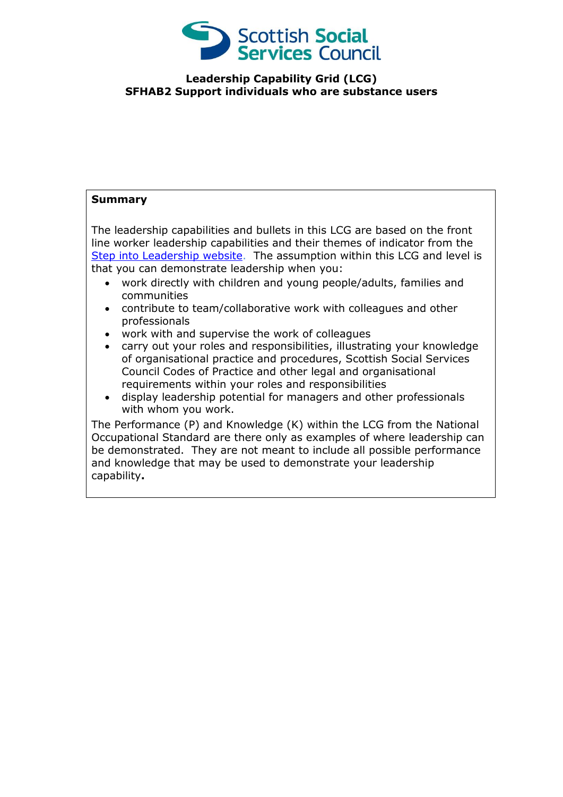

## **Leadership Capability Grid (LCG) SFHAB2 Support individuals who are substance users**

## **Summary**

The leadership capabilities and bullets in this LCG are based on the front line worker leadership capabilities and their themes of indicator from the [Step into Leadership website.](http://www.stepintoleadership.info/) The assumption within this LCG and level is that you can demonstrate leadership when you:

- work directly with children and young people/adults, families and communities
- contribute to team/collaborative work with colleagues and other professionals
- work with and supervise the work of colleagues
- carry out your roles and responsibilities, illustrating your knowledge of organisational practice and procedures, Scottish Social Services Council Codes of Practice and other legal and organisational requirements within your roles and responsibilities
- display leadership potential for managers and other professionals with whom you work.

The Performance (P) and Knowledge (K) within the LCG from the National Occupational Standard are there only as examples of where leadership can be demonstrated. They are not meant to include all possible performance and knowledge that may be used to demonstrate your leadership capability**.**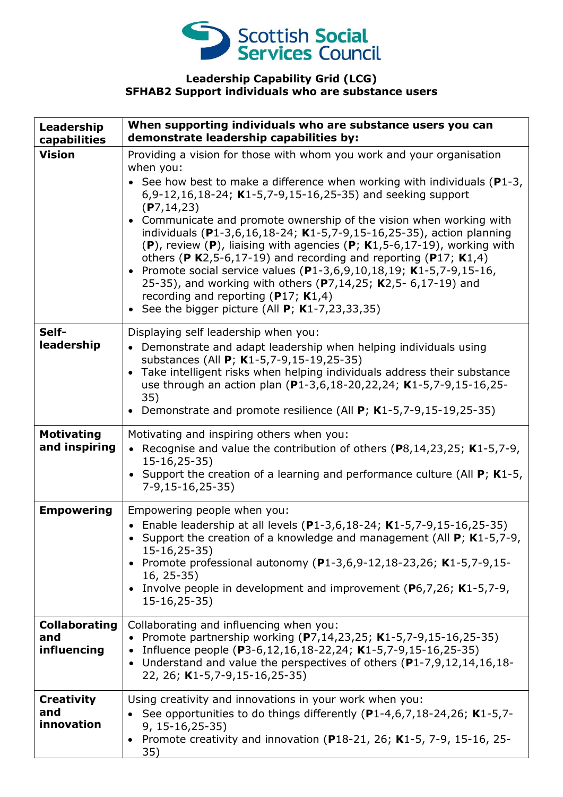

## **Leadership Capability Grid (LCG) SFHAB2 Support individuals who are substance users**

| Leadership<br>capabilities                 | When supporting individuals who are substance users you can<br>demonstrate leadership capabilities by:                                                                                                                                                                                                                                                                                                                                                                                                                                                                                                                                                                                                                                                                                                                           |
|--------------------------------------------|----------------------------------------------------------------------------------------------------------------------------------------------------------------------------------------------------------------------------------------------------------------------------------------------------------------------------------------------------------------------------------------------------------------------------------------------------------------------------------------------------------------------------------------------------------------------------------------------------------------------------------------------------------------------------------------------------------------------------------------------------------------------------------------------------------------------------------|
| <b>Vision</b>                              | Providing a vision for those with whom you work and your organisation<br>when you:<br>See how best to make a difference when working with individuals ( $P1-3$ ,<br>6,9-12,16,18-24; K1-5,7-9,15-16,25-35) and seeking support<br>(P7, 14, 23)<br>Communicate and promote ownership of the vision when working with<br>$\bullet$<br>individuals (P1-3,6,16,18-24; K1-5,7-9,15-16,25-35), action planning<br>$(P)$ , review $(P)$ , liaising with agencies $(P; K1, 5-6, 17-19)$ , working with<br>others (P K2,5-6,17-19) and recording and reporting (P17; K1,4)<br>Promote social service values (P1-3,6,9,10,18,19; K1-5,7-9,15-16,<br>$\bullet$<br>25-35), and working with others (P7,14,25; K2,5- 6,17-19) and<br>recording and reporting ( $P17$ ; K1,4)<br>See the bigger picture (All $P$ ; K1-7,23,33,35)<br>$\bullet$ |
| Self-<br>leadership                        | Displaying self leadership when you:<br>• Demonstrate and adapt leadership when helping individuals using<br>substances (All P; K1-5,7-9,15-19,25-35)<br>Take intelligent risks when helping individuals address their substance<br>use through an action plan (P1-3,6,18-20,22,24; K1-5,7-9,15-16,25-<br>35)<br>Demonstrate and promote resilience (All P; K1-5,7-9,15-19,25-35)                                                                                                                                                                                                                                                                                                                                                                                                                                                |
| <b>Motivating</b><br>and inspiring         | Motivating and inspiring others when you:<br>• Recognise and value the contribution of others ( $P8, 14, 23, 25$ ; K1-5,7-9,<br>$15-16, 25-35)$<br>• Support the creation of a learning and performance culture (All $P$ ; K1-5,<br>$7-9,15-16,25-35)$                                                                                                                                                                                                                                                                                                                                                                                                                                                                                                                                                                           |
| <b>Empowering</b>                          | Empowering people when you:<br>• Enable leadership at all levels (P1-3,6,18-24; K1-5,7-9,15-16,25-35)<br>Support the creation of a knowledge and management (All P; K1-5,7-9,<br>$15-16, 25-35)$<br>Promote professional autonomy (P1-3,6,9-12,18-23,26; K1-5,7-9,15-<br>$16, 25-35)$<br>• Involve people in development and improvement ( $P_6$ , 7, 26; K1-5, 7-9,<br>$15 - 16, 25 - 35)$                                                                                                                                                                                                                                                                                                                                                                                                                                      |
| <b>Collaborating</b><br>and<br>influencing | Collaborating and influencing when you:<br>• Promote partnership working (P7,14,23,25; K1-5,7-9,15-16,25-35)<br>• Influence people (P3-6,12,16,18-22,24; K1-5,7-9,15-16,25-35)<br>Understand and value the perspectives of others (P1-7,9,12,14,16,18-<br>$\bullet$<br>22, 26; K1-5,7-9,15-16,25-35)                                                                                                                                                                                                                                                                                                                                                                                                                                                                                                                             |
| <b>Creativity</b><br>and<br>innovation     | Using creativity and innovations in your work when you:<br>See opportunities to do things differently (P1-4,6,7,18-24,26; K1-5,7-<br>$9, 15 - 16, 25 - 35)$<br>Promote creativity and innovation (P18-21, 26; K1-5, 7-9, 15-16, 25-<br>$\bullet$<br>35)                                                                                                                                                                                                                                                                                                                                                                                                                                                                                                                                                                          |